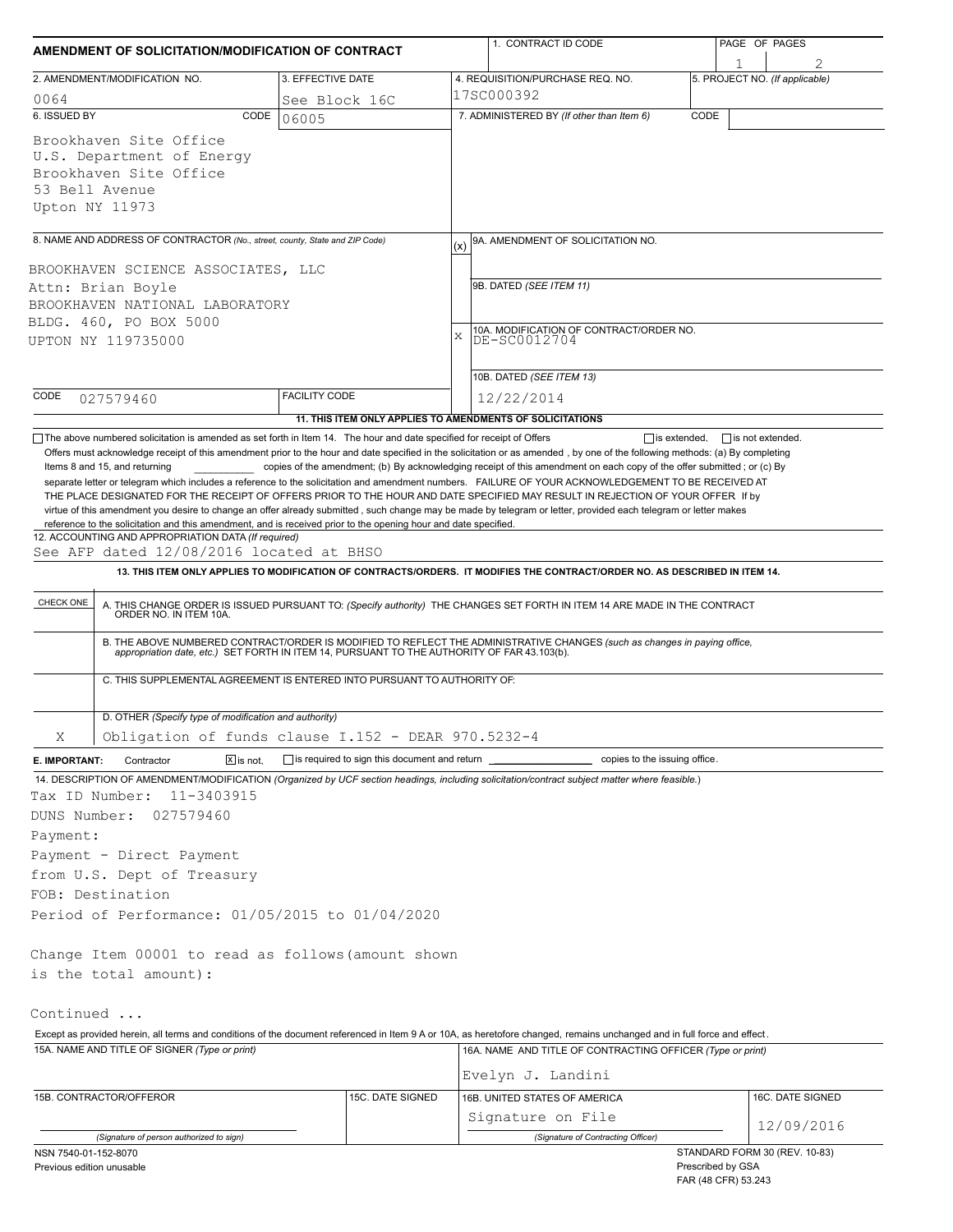| AMENDMENT OF SOLICITATION/MODIFICATION OF CONTRACT                                                                                                                                                                                                                                                                                                                                                                                                                                                                       |                                                           |     | 1. CONTRACT ID CODE                                                                                                                                                                                                   |      | PAGE OF PAGES                  |  |
|--------------------------------------------------------------------------------------------------------------------------------------------------------------------------------------------------------------------------------------------------------------------------------------------------------------------------------------------------------------------------------------------------------------------------------------------------------------------------------------------------------------------------|-----------------------------------------------------------|-----|-----------------------------------------------------------------------------------------------------------------------------------------------------------------------------------------------------------------------|------|--------------------------------|--|
|                                                                                                                                                                                                                                                                                                                                                                                                                                                                                                                          |                                                           |     |                                                                                                                                                                                                                       |      |                                |  |
| 2. AMENDMENT/MODIFICATION NO.                                                                                                                                                                                                                                                                                                                                                                                                                                                                                            | 3. EFFECTIVE DATE                                         |     | 4. REQUISITION/PURCHASE REQ. NO.                                                                                                                                                                                      |      | 5. PROJECT NO. (If applicable) |  |
| 0064                                                                                                                                                                                                                                                                                                                                                                                                                                                                                                                     | See Block 16C                                             |     | 17SC000392                                                                                                                                                                                                            |      |                                |  |
| 6. ISSUED BY<br>CODE                                                                                                                                                                                                                                                                                                                                                                                                                                                                                                     | 06005                                                     |     | 7. ADMINISTERED BY (If other than Item 6)                                                                                                                                                                             | CODE |                                |  |
| Brookhaven Site Office<br>U.S. Department of Energy<br>Brookhaven Site Office<br>53 Bell Avenue<br>Upton NY 11973                                                                                                                                                                                                                                                                                                                                                                                                        |                                                           |     |                                                                                                                                                                                                                       |      |                                |  |
|                                                                                                                                                                                                                                                                                                                                                                                                                                                                                                                          |                                                           |     |                                                                                                                                                                                                                       |      |                                |  |
| 8. NAME AND ADDRESS OF CONTRACTOR (No., street, county, State and ZIP Code)<br>BROOKHAVEN SCIENCE ASSOCIATES, LLC                                                                                                                                                                                                                                                                                                                                                                                                        |                                                           | (x) | 9A. AMENDMENT OF SOLICITATION NO.                                                                                                                                                                                     |      |                                |  |
| Attn: Brian Boyle                                                                                                                                                                                                                                                                                                                                                                                                                                                                                                        |                                                           |     | 9B. DATED (SEE ITEM 11)                                                                                                                                                                                               |      |                                |  |
| BROOKHAVEN NATIONAL LABORATORY                                                                                                                                                                                                                                                                                                                                                                                                                                                                                           |                                                           |     |                                                                                                                                                                                                                       |      |                                |  |
| BLDG. 460, PO BOX 5000                                                                                                                                                                                                                                                                                                                                                                                                                                                                                                   |                                                           |     | 10A. MODIFICATION OF CONTRACT/ORDER NO.                                                                                                                                                                               |      |                                |  |
| UPTON NY 119735000                                                                                                                                                                                                                                                                                                                                                                                                                                                                                                       |                                                           | X   | DE-SC0012704                                                                                                                                                                                                          |      |                                |  |
|                                                                                                                                                                                                                                                                                                                                                                                                                                                                                                                          |                                                           |     | 10B. DATED (SEE ITEM 13)                                                                                                                                                                                              |      |                                |  |
| CODE<br>027579460                                                                                                                                                                                                                                                                                                                                                                                                                                                                                                        | <b>FACILITY CODE</b>                                      |     | 12/22/2014                                                                                                                                                                                                            |      |                                |  |
|                                                                                                                                                                                                                                                                                                                                                                                                                                                                                                                          | 11. THIS ITEM ONLY APPLIES TO AMENDMENTS OF SOLICITATIONS |     |                                                                                                                                                                                                                       |      |                                |  |
| THE PLACE DESIGNATED FOR THE RECEIPT OF OFFERS PRIOR TO THE HOUR AND DATE SPECIFIED MAY RESULT IN REJECTION OF YOUR OFFER If by<br>virtue of this amendment you desire to change an offer already submitted, such change may be made by telegram or letter, provided each telegram or letter makes<br>reference to the solicitation and this amendment, and is received prior to the opening hour and date specified.<br>12. ACCOUNTING AND APPROPRIATION DATA (If required)<br>See AFP dated 12/08/2016 located at BHSO |                                                           |     |                                                                                                                                                                                                                       |      |                                |  |
|                                                                                                                                                                                                                                                                                                                                                                                                                                                                                                                          |                                                           |     | 13. THIS ITEM ONLY APPLIES TO MODIFICATION OF CONTRACTS/ORDERS. IT MODIFIES THE CONTRACT/ORDER NO. AS DESCRIBED IN ITEM 14.                                                                                           |      |                                |  |
| CHECK ONE                                                                                                                                                                                                                                                                                                                                                                                                                                                                                                                |                                                           |     | A. THIS CHANGE ORDER IS ISSUED PURSUANT TO: (Specify authority) THE CHANGES SET FORTH IN ITEM 14 ARE MADE IN THE CONTRACT ORDER NO. IN ITEM 10A.                                                                      |      |                                |  |
| C. THIS SUPPLEMENTAL AGREEMENT IS ENTERED INTO PURSUANT TO AUTHORITY OF:                                                                                                                                                                                                                                                                                                                                                                                                                                                 |                                                           |     | B. THE ABOVE NUMBERED CONTRACT/ORDER IS MODIFIED TO REFLECT THE ADMINISTRATIVE CHANGES (such as changes in paying office, appropriation date, etc.) SET FORTH IN ITEM 14, PURSUANT TO THE AUTHORITY OF FAR 43.103(b). |      |                                |  |
|                                                                                                                                                                                                                                                                                                                                                                                                                                                                                                                          |                                                           |     |                                                                                                                                                                                                                       |      |                                |  |
| D. OTHER (Specify type of modification and authority)                                                                                                                                                                                                                                                                                                                                                                                                                                                                    |                                                           |     |                                                                                                                                                                                                                       |      |                                |  |
| Obligation of funds clause I.152 - DEAR 970.5232-4<br>Χ                                                                                                                                                                                                                                                                                                                                                                                                                                                                  |                                                           |     |                                                                                                                                                                                                                       |      |                                |  |
| Contractor<br>$ \overline{x} $ is not.<br>E. IMPORTANT:                                                                                                                                                                                                                                                                                                                                                                                                                                                                  | $\Box$ is required to sign this document and return       |     | copies to the issuing office.                                                                                                                                                                                         |      |                                |  |
| 14. DESCRIPTION OF AMENDMENT/MODIFICATION (Organized by UCF section headings, including solicitation/contract subject matter where feasible.)<br>Tax ID Number:<br>11-3403915<br>DUNS Number:<br>027579460                                                                                                                                                                                                                                                                                                               |                                                           |     |                                                                                                                                                                                                                       |      |                                |  |
| Payment:                                                                                                                                                                                                                                                                                                                                                                                                                                                                                                                 |                                                           |     |                                                                                                                                                                                                                       |      |                                |  |
| Payment - Direct Payment                                                                                                                                                                                                                                                                                                                                                                                                                                                                                                 |                                                           |     |                                                                                                                                                                                                                       |      |                                |  |
| from U.S. Dept of Treasury                                                                                                                                                                                                                                                                                                                                                                                                                                                                                               |                                                           |     |                                                                                                                                                                                                                       |      |                                |  |
| FOB: Destination                                                                                                                                                                                                                                                                                                                                                                                                                                                                                                         |                                                           |     |                                                                                                                                                                                                                       |      |                                |  |
| Period of Performance: 01/05/2015 to 01/04/2020                                                                                                                                                                                                                                                                                                                                                                                                                                                                          |                                                           |     |                                                                                                                                                                                                                       |      |                                |  |
| Change Item 00001 to read as follows (amount shown                                                                                                                                                                                                                                                                                                                                                                                                                                                                       |                                                           |     |                                                                                                                                                                                                                       |      |                                |  |
| is the total amount):                                                                                                                                                                                                                                                                                                                                                                                                                                                                                                    |                                                           |     |                                                                                                                                                                                                                       |      |                                |  |
| Continued                                                                                                                                                                                                                                                                                                                                                                                                                                                                                                                |                                                           |     |                                                                                                                                                                                                                       |      |                                |  |
| Except as provided herein, all terms and conditions of the document referenced in Item 9 A or 10A, as heretofore changed, remains unchanged and in full force and effect.                                                                                                                                                                                                                                                                                                                                                |                                                           |     |                                                                                                                                                                                                                       |      |                                |  |
| 15A. NAME AND TITLE OF SIGNER (Type or print)                                                                                                                                                                                                                                                                                                                                                                                                                                                                            |                                                           |     | 16A. NAME AND TITLE OF CONTRACTING OFFICER (Type or print)<br>Evelyn J. Landini                                                                                                                                       |      |                                |  |
| 15B. CONTRACTOR/OFFEROR                                                                                                                                                                                                                                                                                                                                                                                                                                                                                                  | 15C. DATE SIGNED                                          |     | 16B. UNITED STATES OF AMERICA                                                                                                                                                                                         |      | 16C. DATE SIGNED               |  |
|                                                                                                                                                                                                                                                                                                                                                                                                                                                                                                                          |                                                           |     | Signature on File                                                                                                                                                                                                     |      |                                |  |
| (Signature of person authorized to sign)                                                                                                                                                                                                                                                                                                                                                                                                                                                                                 |                                                           |     | (Signature of Contracting Officer)                                                                                                                                                                                    |      | 12/09/2016                     |  |
|                                                                                                                                                                                                                                                                                                                                                                                                                                                                                                                          |                                                           |     |                                                                                                                                                                                                                       |      |                                |  |

NSN 7540-01-152-8070 Previous edition unusable